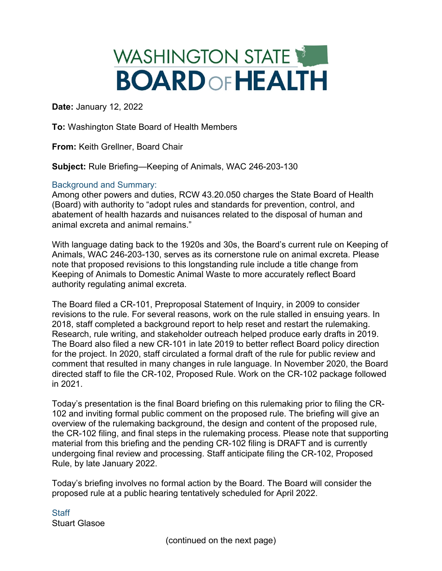## WASHINGTON STATE **BOARD OF HEALTH**

**Date:** January 12, 2022

**To:** Washington State Board of Health Members

**From:** Keith Grellner, Board Chair

**Subject:** Rule Briefing—Keeping of Animals, WAC 246-203-130

## Background and Summary:

Among other powers and duties, RCW 43.20.050 charges the State Board of Health (Board) with authority to "adopt rules and standards for prevention, control, and abatement of health hazards and nuisances related to the disposal of human and animal excreta and animal remains."

With language dating back to the 1920s and 30s, the Board's current rule on Keeping of Animals, WAC 246-203-130, serves as its cornerstone rule on animal excreta. Please note that proposed revisions to this longstanding rule include a title change from Keeping of Animals to Domestic Animal Waste to more accurately reflect Board authority regulating animal excreta.

The Board filed a CR-101, Preproposal Statement of Inquiry, in 2009 to consider revisions to the rule. For several reasons, work on the rule stalled in ensuing years. In 2018, staff completed a background report to help reset and restart the rulemaking. Research, rule writing, and stakeholder outreach helped produce early drafts in 2019. The Board also filed a new CR-101 in late 2019 to better reflect Board policy direction for the project. In 2020, staff circulated a formal draft of the rule for public review and comment that resulted in many changes in rule language. In November 2020, the Board directed staff to file the CR-102, Proposed Rule. Work on the CR-102 package followed in 2021.

Today's presentation is the final Board briefing on this rulemaking prior to filing the CR-102 and inviting formal public comment on the proposed rule. The briefing will give an overview of the rulemaking background, the design and content of the proposed rule, the CR-102 filing, and final steps in the rulemaking process. Please note that supporting material from this briefing and the pending CR-102 filing is DRAFT and is currently undergoing final review and processing. Staff anticipate filing the CR-102, Proposed Rule, by late January 2022.

Today's briefing involves no formal action by the Board. The Board will consider the proposed rule at a public hearing tentatively scheduled for April 2022.

**Staff** Stuart Glasoe

(continued on the next page)